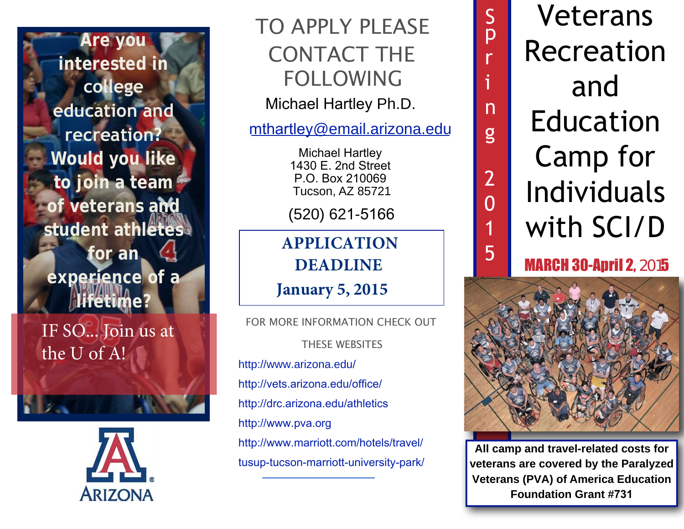**Are you interested in college education and recreation? Would you like to join a team of veterans and student athletes for an experience of a lifetime?**

IF SO... Join us at the U of A!



## TO APPLY PLEASE CONTACT THE FOLLOWING

Michael Hartley Ph.D.

mthartley[@email.arizona.ed](mailto:akraus@email.arizona.edu)u

Michael Hartley 1430 E. 2nd Street P.O. Box 210069 Tucson, AZ 85721

(520) 621-5166

**APPLICATION DEADLINE**

**January 5, 2015**

[THESE WEB](http://www.arizona.edu/)SITES [http://www.arizona.edu/](http://vets.arizona.edu/office/) FOR MORE INFORMATION CHECK OUT

http://vets.arizona.edu/office/

<http://drc.arizona.edu/athletics> [http://www.pva.org](http://www.pva.org/site/c.ajIRK9NJLcJ2E/b.6305401/k.BCBB/Home.htm) [http://www.marriott.com/hotels/travel/](http://www.marriott.com/hotels/travel/tusup-tucson-marriott-university-park/) [tusup-tucson-marriott-university-park/](http://www.marriott.com/hotels/travel/tusup-tucson-marriott-university-park/) 

Veterans Recreation and Education Camp for Individuals with SCI/D

S

p

r

i

n

g

2

0

1

5

## MARCH 30-April 2, 2015



**All camp and travel-related costs for veterans are covered by the Paralyzed Veterans (PVA) of America Education Foundation Grant #731**